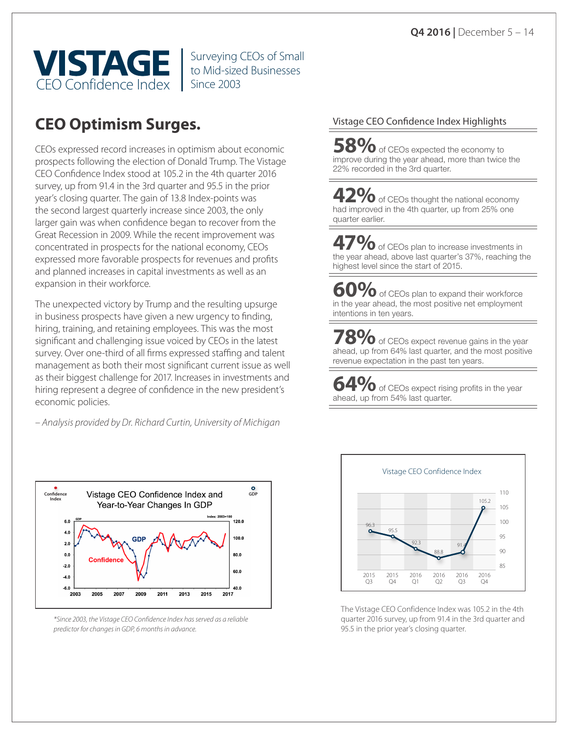

Surveying CEOs of Small to Mid-sized Businesses

# **CEO Optimism Surges.**

CEOs expressed record increases in optimism about economic prospects following the election of Donald Trump. The Vistage CEO Confidence Index stood at 105.2 in the 4th quarter 2016 survey, up from 91.4 in the 3rd quarter and 95.5 in the prior year's closing quarter. The gain of 13.8 Index-points was the second largest quarterly increase since 2003, the only larger gain was when confidence began to recover from the Great Recession in 2009. While the recent improvement was concentrated in prospects for the national economy, CEOs expressed more favorable prospects for revenues and profits and planned increases in capital investments as well as an expansion in their workforce.

The unexpected victory by Trump and the resulting upsurge in business prospects have given a new urgency to finding, hiring, training, and retaining employees. This was the most significant and challenging issue voiced by CEOs in the latest survey. Over one-third of all firms expressed staffing and talent management as both their most significant current issue as well as their biggest challenge for 2017. Increases in investments and hiring represent a degree of confidence in the new president's economic policies.

*– Analysis provided by Dr. Richard Curtin, University of Michigan* 



*\*Since 2003, the Vistage CEO Confidence Index has served as a reliable predictor for changes in GDP, 6 months in advance.* 

#### Vistage CEO Confidence Index Highlights

**58%** of CEOs expected the economy to improve during the year ahead, more than twice the 22% recorded in the 3rd quarter.

**42%** of CEOs thought the national economy had improved in the 4th quarter, up from 25% one quarter earlier.

**47%** of CEOs plan to increase investments in the year ahead, above last quarter's 37%, reaching the highest level since the start of 2015.

**60%** of CEOs plan to expand their workforce in the year ahead, the most positive net employment intentions in ten years.

**70** of CEOs expect revenue gains in the year ahead, up from 64% last quarter, and the most positive revenue expectation in the past ten years.

**64%** of CEOs expect rising profits in the year ahead, up from 54% last quarter.



The Vistage CEO Confidence Index was 105.2 in the 4th quarter 2016 survey, up from 91.4 in the 3rd quarter and 95.5 in the prior year's closing quarter.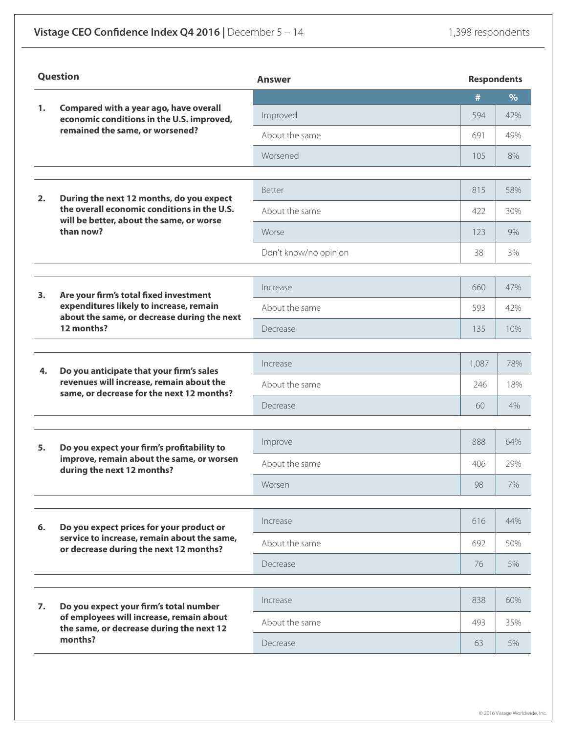| Question |                                                                                                                                   | <b>Answer</b>         |       | <b>Respondents</b> |  |
|----------|-----------------------------------------------------------------------------------------------------------------------------------|-----------------------|-------|--------------------|--|
| 1.       |                                                                                                                                   |                       | #     | $\%$               |  |
|          | Compared with a year ago, have overall<br>economic conditions in the U.S. improved,<br>remained the same, or worsened?            | Improved              | 594   | 42%                |  |
|          |                                                                                                                                   | About the same        | 691   | 49%                |  |
|          |                                                                                                                                   | Worsened              | 105   | 8%                 |  |
|          |                                                                                                                                   |                       |       |                    |  |
| 2.       | During the next 12 months, do you expect                                                                                          | Better                | 815   | 58%                |  |
|          | the overall economic conditions in the U.S.<br>will be better, about the same, or worse                                           | About the same        | 422   | 30%                |  |
|          | than now?                                                                                                                         | Worse                 | 123   | 9%                 |  |
|          |                                                                                                                                   | Don't know/no opinion | 38    | 3%                 |  |
|          |                                                                                                                                   |                       |       |                    |  |
| 3.       | Are your firm's total fixed investment                                                                                            | Increase              | 660   | 47%                |  |
|          | expenditures likely to increase, remain<br>about the same, or decrease during the next                                            | About the same        | 593   | 42%                |  |
|          | 12 months?                                                                                                                        | Decrease              | 135   | 10%                |  |
|          |                                                                                                                                   | Increase              | 1,087 | 78%                |  |
| 4.       | Do you anticipate that your firm's sales<br>revenues will increase, remain about the<br>same, or decrease for the next 12 months? | About the same        | 246   | 18%                |  |
|          |                                                                                                                                   |                       |       |                    |  |
|          |                                                                                                                                   | Decrease              | 60    | 4%                 |  |
|          |                                                                                                                                   | Improve               | 888   | 64%                |  |
| 5.       | Do you expect your firm's profitability to<br>improve, remain about the same, or worsen                                           | About the same        | 406   | 29%                |  |
|          | during the next 12 months?                                                                                                        | Worsen                | 98    | 7%                 |  |
|          |                                                                                                                                   |                       |       |                    |  |
| 6.       | Do you expect prices for your product or                                                                                          | Increase              | 616   | 44%                |  |
|          | service to increase, remain about the same,<br>or decrease during the next 12 months?                                             | About the same        | 692   | 50%                |  |
|          |                                                                                                                                   | Decrease              | 76    | 5%                 |  |
|          |                                                                                                                                   |                       |       |                    |  |
| 7.       | Do you expect your firm's total number                                                                                            | Increase              | 838   | 60%                |  |
|          | of employees will increase, remain about<br>the same, or decrease during the next 12                                              | About the same        | 493   | 35%                |  |
|          | months?                                                                                                                           | Decrease              | 63    | 5%                 |  |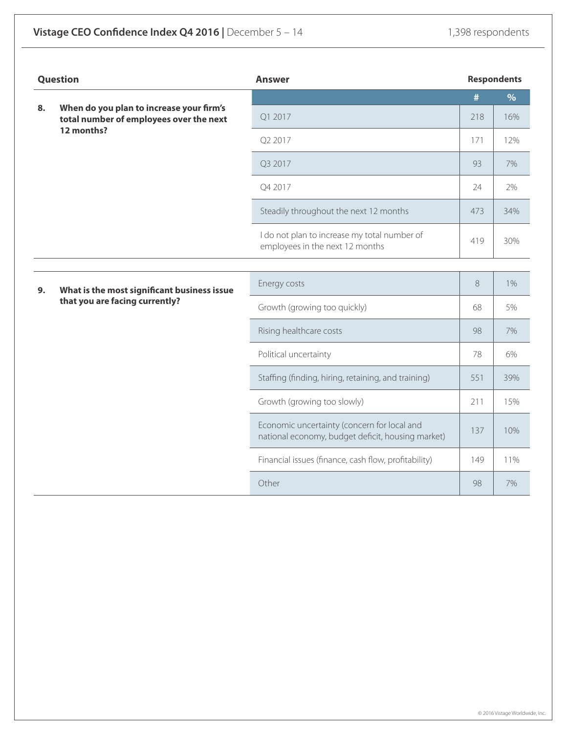| <b>Question</b> |                                                                                                   | <b>Answer</b>                                                                                    | <b>Respondents</b> |               |
|-----------------|---------------------------------------------------------------------------------------------------|--------------------------------------------------------------------------------------------------|--------------------|---------------|
|                 |                                                                                                   |                                                                                                  | #                  | $\frac{9}{6}$ |
| 8.              | When do you plan to increase your firm's<br>total number of employees over the next<br>12 months? | Q1 2017                                                                                          | 218                | 16%           |
|                 |                                                                                                   | Q2 2017                                                                                          | 171                | 12%           |
|                 |                                                                                                   | Q3 2017                                                                                          | 93                 | 7%            |
|                 |                                                                                                   | Q4 2017                                                                                          | 24                 | 2%            |
|                 |                                                                                                   | Steadily throughout the next 12 months                                                           | 473                | 34%           |
|                 |                                                                                                   | I do not plan to increase my total number of<br>employees in the next 12 months                  | 419                | 30%           |
|                 |                                                                                                   |                                                                                                  |                    |               |
| 9.              | What is the most significant business issue<br>that you are facing currently?                     | Energy costs                                                                                     | $8\,$              | 1%            |
|                 |                                                                                                   | Growth (growing too quickly)                                                                     | 68                 | 5%            |
|                 |                                                                                                   | Rising healthcare costs                                                                          | 98                 | 7%            |
|                 |                                                                                                   | Political uncertainty                                                                            | 78                 | 6%            |
|                 |                                                                                                   | Staffing (finding, hiring, retaining, and training)                                              | 551                | 39%           |
|                 |                                                                                                   | Growth (growing too slowly)                                                                      | 211                | 15%           |
|                 |                                                                                                   | Economic uncertainty (concern for local and<br>national economy, budget deficit, housing market) | 137                | 10%           |
|                 |                                                                                                   | Financial issues (finance, cash flow, profitability)                                             | 149                | 11%           |
|                 |                                                                                                   | Other                                                                                            | 98                 | 7%            |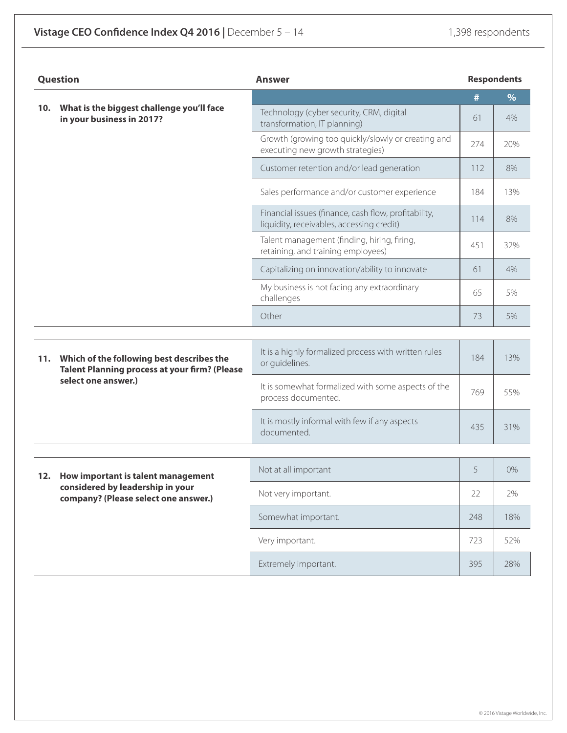| <b>Question</b> |                                                                                                                          | <b>Answer</b>                                                                                     |     | <b>Respondents</b> |  |
|-----------------|--------------------------------------------------------------------------------------------------------------------------|---------------------------------------------------------------------------------------------------|-----|--------------------|--|
|                 |                                                                                                                          |                                                                                                   | #   | $\%$               |  |
| 10.             | What is the biggest challenge you'll face<br>in your business in 2017?                                                   | Technology (cyber security, CRM, digital<br>transformation, IT planning)                          | 61  | 4%                 |  |
|                 |                                                                                                                          | Growth (growing too quickly/slowly or creating and<br>executing new growth strategies)            | 274 | 20%                |  |
|                 |                                                                                                                          | Customer retention and/or lead generation                                                         | 112 | 8%                 |  |
|                 |                                                                                                                          | Sales performance and/or customer experience                                                      | 184 | 13%                |  |
|                 |                                                                                                                          | Financial issues (finance, cash flow, profitability,<br>liquidity, receivables, accessing credit) | 114 | 8%                 |  |
|                 |                                                                                                                          | Talent management (finding, hiring, firing,<br>retaining, and training employees)                 | 451 | 32%                |  |
|                 |                                                                                                                          | Capitalizing on innovation/ability to innovate                                                    | 61  | 4%                 |  |
|                 |                                                                                                                          | My business is not facing any extraordinary<br>challenges                                         | 65  | 5%                 |  |
|                 |                                                                                                                          | Other                                                                                             | 73  | 5%                 |  |
|                 |                                                                                                                          |                                                                                                   |     |                    |  |
| 11.             | Which of the following best describes the<br><b>Talent Planning process at your firm? (Please</b><br>select one answer.) | It is a highly formalized process with written rules<br>or guidelines.                            | 184 | 13%                |  |
|                 |                                                                                                                          | It is somewhat formalized with some aspects of the<br>process documented.                         | 769 | 55%                |  |
|                 |                                                                                                                          | It is mostly informal with few if any aspects<br>documented.                                      | 435 | 31%                |  |
|                 |                                                                                                                          |                                                                                                   |     |                    |  |
|                 | How important is talent management<br>12.<br>considered by leadership in your<br>company? (Please select one answer.)    | Not at all important                                                                              | 5   | 0%                 |  |
|                 |                                                                                                                          | Not very important.                                                                               | 22  | 2%                 |  |
|                 |                                                                                                                          | Somewhat important.                                                                               | 248 | 18%                |  |
|                 |                                                                                                                          | Very important.                                                                                   | 723 | 52%                |  |
|                 |                                                                                                                          | Extremely important.                                                                              | 395 | 28%                |  |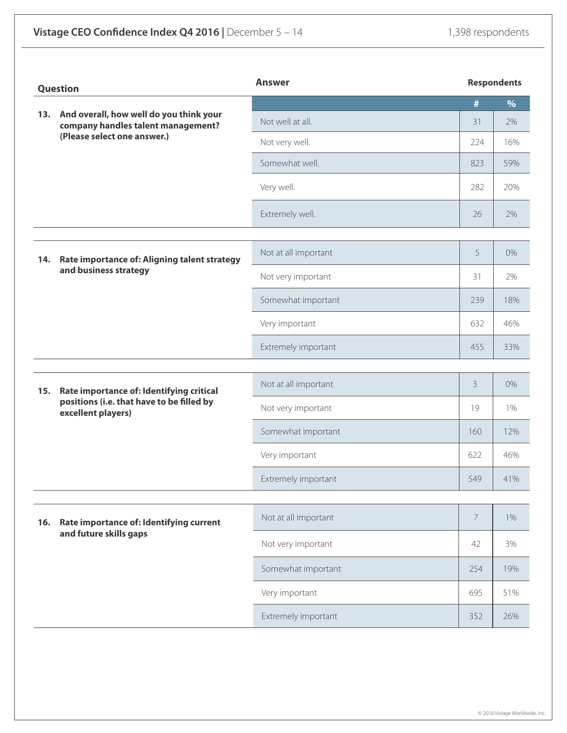| And overall, how well do you think your<br>13.<br>company handles talent management?<br>(Please select one answer.) |                                                                                              | Not well at all.     | #              | $\%$  |
|---------------------------------------------------------------------------------------------------------------------|----------------------------------------------------------------------------------------------|----------------------|----------------|-------|
|                                                                                                                     |                                                                                              |                      |                |       |
|                                                                                                                     |                                                                                              |                      | 31             | 2%    |
|                                                                                                                     |                                                                                              | Not very well.       | 224            | 16%   |
|                                                                                                                     |                                                                                              | Somewhat well.       | 823            | 59%   |
|                                                                                                                     |                                                                                              | Very well.           | 282            | 20%   |
|                                                                                                                     |                                                                                              | Extremely well.      | 26             | 2%    |
|                                                                                                                     |                                                                                              |                      |                |       |
| 14.<br>and business strategy                                                                                        | Rate importance of: Aligning talent strategy                                                 | Not at all important | 5              | $0\%$ |
|                                                                                                                     |                                                                                              | Not very important   | 31             | 2%    |
|                                                                                                                     |                                                                                              | Somewhat important   | 239            | 18%   |
|                                                                                                                     |                                                                                              | Very important       | 632            | 46%   |
|                                                                                                                     |                                                                                              | Extremely important  | 455            | 33%   |
|                                                                                                                     | Rate importance of: Identifying critical<br>15.<br>positions (i.e. that have to be filled by |                      |                |       |
|                                                                                                                     |                                                                                              | Not at all important | 3              | 0%    |
| excellent players)                                                                                                  |                                                                                              | Not very important   | 19             | 1%    |
|                                                                                                                     |                                                                                              | Somewhat important   | 160            | 12%   |
|                                                                                                                     |                                                                                              | Very important       | 622            | 46%   |
|                                                                                                                     |                                                                                              | Extremely important  | 549            | 41%   |
|                                                                                                                     |                                                                                              | Not at all important | $\overline{7}$ | $1\%$ |
| Rate importance of: Identifying current<br>16.<br>and future skills gaps                                            |                                                                                              |                      |                |       |
|                                                                                                                     |                                                                                              | Not very important   | 42             | 3%    |
|                                                                                                                     |                                                                                              | Somewhat important   | 254            | 19%   |
|                                                                                                                     |                                                                                              | Very important       | 695            | 51%   |
|                                                                                                                     |                                                                                              | Extremely important  | 352            | 26%   |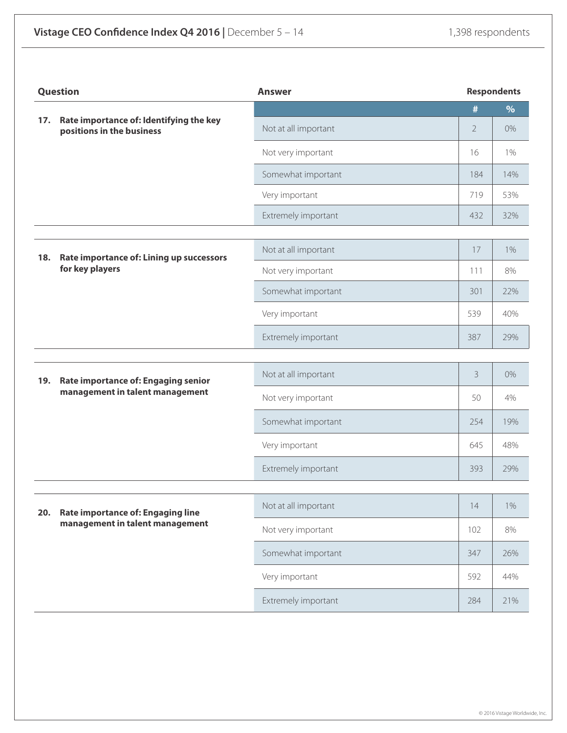| Rate importance of: Identifying the key<br>17.<br>Not at all important<br>positions in the business<br>Not very important<br>Somewhat important<br>Very important<br>Extremely important | #<br>$\overline{2}$<br>16<br>184<br>719<br>432<br>17 | $\%$<br>0%<br>1%<br>14%<br>53%<br>32% |
|------------------------------------------------------------------------------------------------------------------------------------------------------------------------------------------|------------------------------------------------------|---------------------------------------|
|                                                                                                                                                                                          |                                                      |                                       |
|                                                                                                                                                                                          |                                                      |                                       |
|                                                                                                                                                                                          |                                                      |                                       |
|                                                                                                                                                                                          |                                                      |                                       |
|                                                                                                                                                                                          |                                                      |                                       |
|                                                                                                                                                                                          |                                                      |                                       |
|                                                                                                                                                                                          |                                                      |                                       |
| Not at all important<br>Rate importance of: Lining up successors<br>18.                                                                                                                  |                                                      | $1\%$                                 |
| for key players<br>Not very important                                                                                                                                                    | 111                                                  | 8%                                    |
| Somewhat important                                                                                                                                                                       | 301                                                  | 22%                                   |
| Very important                                                                                                                                                                           | 539                                                  | 40%                                   |
| Extremely important                                                                                                                                                                      | 387                                                  | 29%                                   |
|                                                                                                                                                                                          |                                                      |                                       |
| Not at all important<br>Rate importance of: Engaging senior<br>19.                                                                                                                       | 3                                                    | 0%                                    |
| management in talent management<br>Not very important                                                                                                                                    | 50                                                   | 4%                                    |
| Somewhat important                                                                                                                                                                       | 254                                                  | 19%                                   |
| Very important                                                                                                                                                                           | 645                                                  | 48%                                   |
| Extremely important                                                                                                                                                                      | 393                                                  | 29%                                   |
|                                                                                                                                                                                          |                                                      |                                       |
| Not at all important<br>Rate importance of: Engaging line<br>20.                                                                                                                         | 14                                                   | $1\%$                                 |
| management in talent management<br>Not very important                                                                                                                                    | 102                                                  | 8%                                    |
| Somewhat important                                                                                                                                                                       | 347                                                  | 26%                                   |
| Very important                                                                                                                                                                           | 592                                                  | 44%                                   |
| Extremely important                                                                                                                                                                      | 284                                                  | 21%                                   |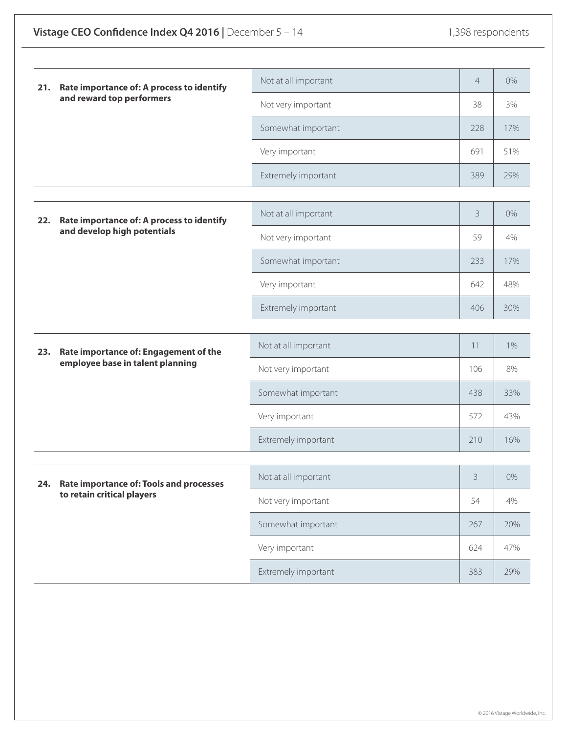| 21. | Rate importance of: A process to identify<br>and reward top performers | Not at all important | $\overline{4}$ | 0%    |  |
|-----|------------------------------------------------------------------------|----------------------|----------------|-------|--|
|     |                                                                        | Not very important   | 38             | 3%    |  |
|     |                                                                        | Somewhat important   | 228            | 17%   |  |
|     |                                                                        | Very important       | 691            | 51%   |  |
|     |                                                                        | Extremely important  | 389            | 29%   |  |
|     |                                                                        |                      |                |       |  |
| 22. | Rate importance of: A process to identify                              | Not at all important | $\overline{3}$ | 0%    |  |
|     | and develop high potentials                                            | Not very important   | 59             | 4%    |  |
|     |                                                                        | Somewhat important   | 233            | 17%   |  |
|     |                                                                        | Very important       | 642            | 48%   |  |
|     |                                                                        | Extremely important  | 406            | 30%   |  |
|     |                                                                        |                      |                |       |  |
| 23. | Rate importance of: Engagement of the                                  | Not at all important | 11             | 1%    |  |
|     | employee base in talent planning                                       | Not very important   | 106            | 8%    |  |
|     |                                                                        | Somewhat important   | 438            | 33%   |  |
|     |                                                                        | Very important       | 572            | 43%   |  |
|     |                                                                        | Extremely important  | 210            | 16%   |  |
|     |                                                                        |                      |                |       |  |
| 24. | <b>Rate importance of: Tools and processes</b>                         | Not at all important | $\mathcal{E}$  | $0\%$ |  |
|     | to retain critical players                                             | Not very important   | 54             | 4%    |  |
|     |                                                                        | Somewhat important   | 267            | 20%   |  |
|     |                                                                        | Very important       | 624            | 47%   |  |
|     |                                                                        | Extremely important  | 383            | 29%   |  |
|     |                                                                        |                      |                |       |  |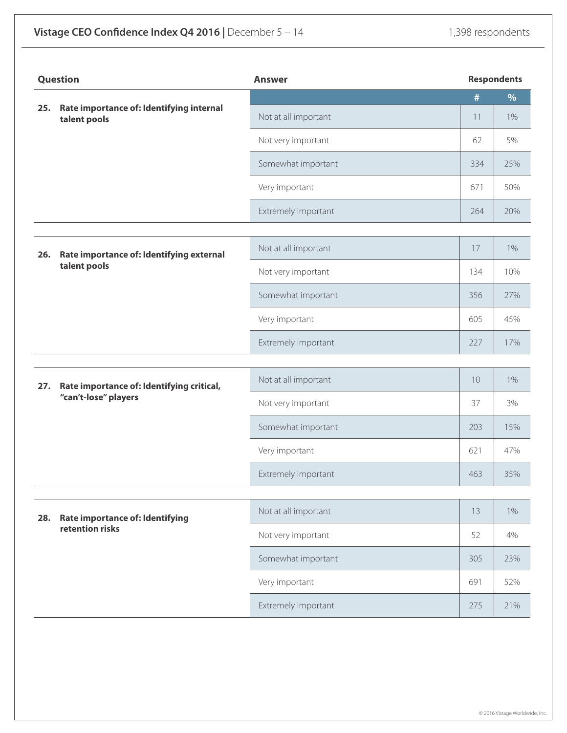| <b>Question</b> |                                                                   | <b>Answer</b>        |      | <b>Respondents</b> |  |
|-----------------|-------------------------------------------------------------------|----------------------|------|--------------------|--|
| 25.             | Rate importance of: Identifying internal                          |                      | $\#$ | $\%$               |  |
|                 | talent pools                                                      | Not at all important | 11   | 1%                 |  |
|                 |                                                                   | Not very important   | 62   | 5%                 |  |
|                 |                                                                   | Somewhat important   | 334  | 25%                |  |
|                 |                                                                   | Very important       | 671  | 50%                |  |
|                 |                                                                   | Extremely important  | 264  | 20%                |  |
|                 |                                                                   |                      |      |                    |  |
| 26.             | Rate importance of: Identifying external                          | Not at all important | 17   | $1\%$              |  |
|                 | talent pools                                                      | Not very important   | 134  | 10%                |  |
|                 |                                                                   | Somewhat important   | 356  | 27%                |  |
|                 |                                                                   | Very important       | 605  | 45%                |  |
|                 |                                                                   | Extremely important  | 227  | 17%                |  |
|                 |                                                                   |                      |      |                    |  |
| 27.             | Rate importance of: Identifying critical,<br>"can't-lose" players | Not at all important | 10   | $1\%$              |  |
|                 |                                                                   | Not very important   | 37   | 3%                 |  |
|                 |                                                                   | Somewhat important   | 203  | 15%                |  |
|                 |                                                                   | Very important       | 621  | 47%                |  |
|                 |                                                                   | Extremely important  | 463  | 35%                |  |
|                 |                                                                   | Not at all important | 13   | $1\%$              |  |
| 28.             | <b>Rate importance of: Identifying</b><br>retention risks         | Not very important   | 52   | 4%                 |  |
|                 |                                                                   |                      |      |                    |  |
|                 |                                                                   | Somewhat important   | 305  | 23%                |  |
|                 |                                                                   | Very important       | 691  | 52%                |  |
|                 |                                                                   | Extremely important  | 275  | 21%                |  |

© 2016 Vistage Worldwide, Inc.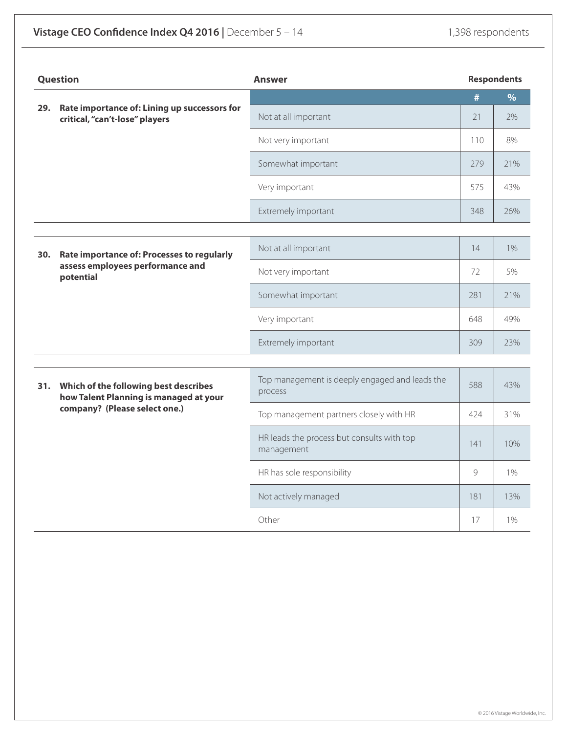| <b>Question</b> |                                                                                                                  | <b>Answer</b>                                             |     | <b>Respondents</b> |
|-----------------|------------------------------------------------------------------------------------------------------------------|-----------------------------------------------------------|-----|--------------------|
| 29.             | Rate importance of: Lining up successors for                                                                     |                                                           | #   | $\%$               |
|                 | critical, "can't-lose" players                                                                                   | Not at all important                                      | 21  | 2%                 |
|                 |                                                                                                                  | Not very important                                        | 110 | 8%                 |
|                 |                                                                                                                  | Somewhat important                                        | 279 | 21%                |
|                 |                                                                                                                  | Very important                                            | 575 | 43%                |
|                 |                                                                                                                  | Extremely important                                       | 348 | 26%                |
|                 |                                                                                                                  | Not at all important                                      | 14  | 1%                 |
| 30.             | Rate importance of: Processes to regularly<br>assess employees performance and<br>potential                      |                                                           |     |                    |
|                 |                                                                                                                  | Not very important                                        | 72  | 5%                 |
|                 |                                                                                                                  | Somewhat important                                        | 281 | 21%                |
|                 |                                                                                                                  | Very important                                            | 648 | 49%                |
|                 |                                                                                                                  | Extremely important                                       | 309 | 23%                |
|                 |                                                                                                                  |                                                           |     |                    |
| 31.             | Which of the following best describes<br>how Talent Planning is managed at your<br>company? (Please select one.) | Top management is deeply engaged and leads the<br>process | 588 | 43%                |
|                 |                                                                                                                  | Top management partners closely with HR                   | 424 | 31%                |
|                 |                                                                                                                  | HR leads the process but consults with top<br>management  | 141 | 10%                |
|                 |                                                                                                                  | HR has sole responsibility                                | 9   | $1\%$              |
|                 |                                                                                                                  | Not actively managed                                      | 181 | 13%                |
|                 |                                                                                                                  | Other                                                     | 17  | $1\%$              |